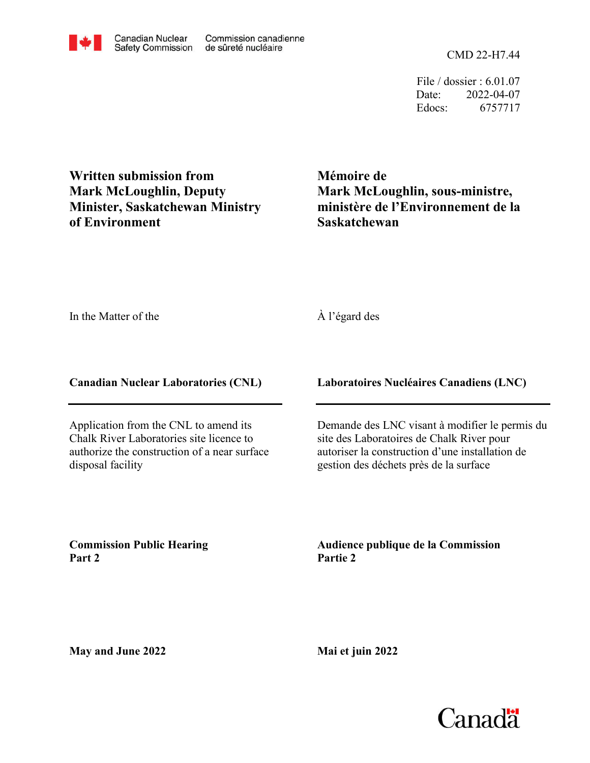CMD 22-H7.44

File / dossier : 6.01.07 Date: 2022-04-07 Edocs: 6757717

**Written submission from Mark McLoughlin, Deputy Minister, Saskatchewan Ministry of Environment**

**Mémoire de Mark McLoughlin, sous-ministre, ministère de l'Environnement de la Saskatchewan**

In the Matter of the

À l'égard des

**Canadian Nuclear Laboratories (CNL)**

Application from the CNL to amend its Chalk River Laboratories site licence to authorize the construction of a near surface disposal facility

**Laboratoires Nucléaires Canadiens (LNC)**

Demande des LNC visant à modifier le permis du site des Laboratoires de Chalk River pour autoriser la construction d'une installation de gestion des déchets près de la surface

**Commission Public Hearing Part 2**

**Audience publique de la Commission Partie 2**

**May and June 2022**

**Mai et juin 2022**

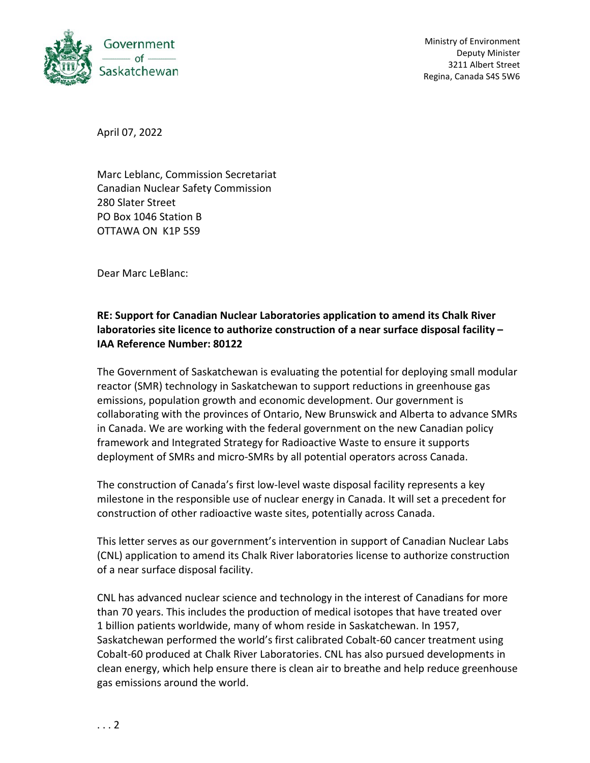

April 07, 2022

Marc Leblanc, Commission Secretariat Canadian Nuclear Safety Commission 280 Slater Street PO Box 1046 Station B OTTAWA ON K1P 5S9

Dear Marc LeBlanc:

## **RE: Support for Canadian Nuclear Laboratories application to amend its Chalk River laboratories site licence to authorize construction of a near surface disposal facility – IAA Reference Number: 80122**

The Government of Saskatchewan is evaluating the potential for deploying small modular reactor (SMR) technology in Saskatchewan to support reductions in greenhouse gas emissions, population growth and economic development. Our government is collaborating with the provinces of Ontario, New Brunswick and Alberta to advance SMRs in Canada. We are working with the federal government on the new Canadian policy framework and Integrated Strategy for Radioactive Waste to ensure it supports deployment of SMRs and micro-SMRs by all potential operators across Canada.

The construction of Canada's first low-level waste disposal facility represents a key milestone in the responsible use of nuclear energy in Canada. It will set a precedent for construction of other radioactive waste sites, potentially across Canada.

This letter serves as our government's intervention in support of Canadian Nuclear Labs (CNL) application to amend its Chalk River laboratories license to authorize construction of a near surface disposal facility.

CNL has advanced nuclear science and technology in the interest of Canadians for more than 70 years. This includes the production of medical isotopes that have treated over 1 billion patients worldwide, many of whom reside in Saskatchewan. In 1957, Saskatchewan performed the world's first calibrated Cobalt-60 cancer treatment using Cobalt-60 produced at Chalk River Laboratories. CNL has also pursued developments in clean energy, which help ensure there is clean air to breathe and help reduce greenhouse gas emissions around the world.